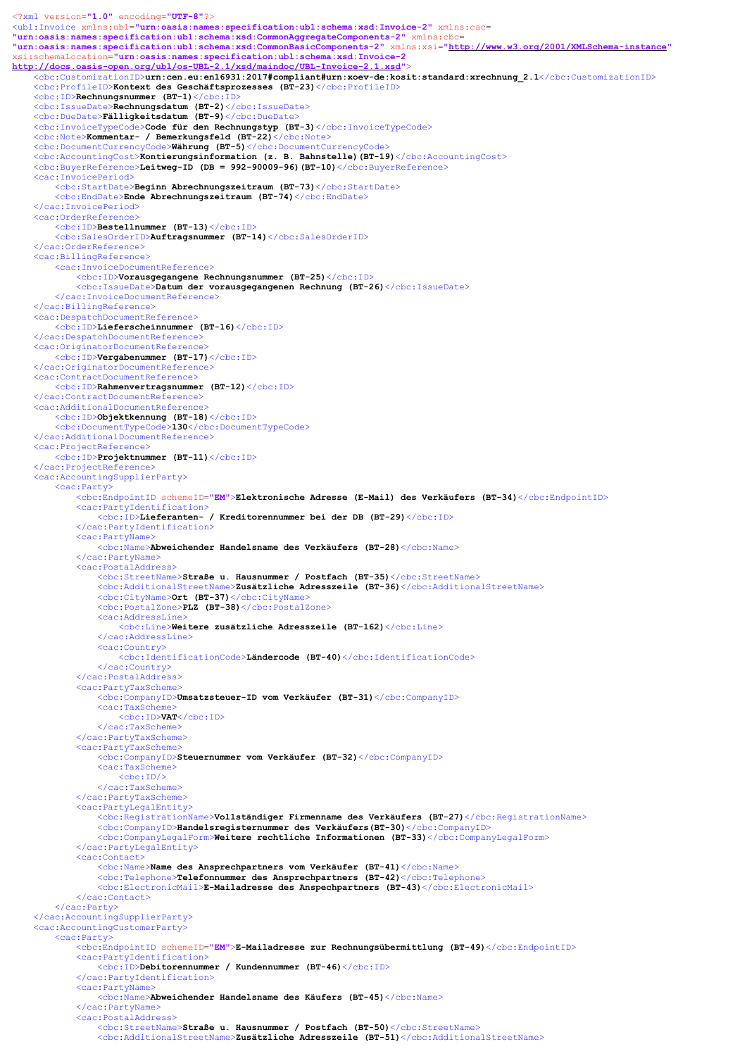<?xml version="1.0" encoding="UTF-8"?> <ubl:Invoice xmlns:ubl="urn:oasis:names:specification:ubl:schema:xsd:Invoice-2" xmlns:cac= "urn:oasis:names:specification:ubl:schema:xsd:CommonAggregateComponents-2" xmlns:cbc= "urn:oasis:names:specification:ubl:schema:xsd:CommonBasicComponents-2" xmlns:xsi="http://www.w3.org/2001/XMLSchema-instance" xsi:schemaLocation="urn:oasis:names:specification:ubl:schema:xsd:Invoice-2 http://docs.oasis-open.org/ubl/os-UBL-2.1/xsd/maindoc/UBL-Invoice-2.1.xsd"> <cbc:CustomizationID>urn:cen.eu:en16931:2017#compliant#urn:xoev-de:kosit:standard:xrechnung\_2.1</cbc:CustomizationID> <cbc:ProfileID>Kontext des Geschäftsprozesses (BT-23)</cbc:ProfileID> <cbc:ID>Rechnungsnummer (BT-1)</cbc:ID> <cbc:IssueDate>Rechnungsdatum (BT-2)</cbc:IssueDate> <cbc:DueDate>Fälligkeitsdatum (BT-9)</cbc:DueDate> <cbc:InvoiceTypeCode>Code für den Rechnungstyp (BT-3)</cbc:InvoiceTypeCode> <cbc:Note>Kommentar- / Bemerkungsfeld (BT-22)</cbc:Note> <cbc:DocumentCurrencyCode>Währung (BT-5)</cbc:DocumentCurrencyCode> <cbc:AccountingCost>Kontierungsinformation (z. B. Bahnstelle)(BT-19)</cbc:AccountingCost> <cbc:BuyerReference>Leitweg-ID (DB = 992-90009-96)(BT-10)</cbc:BuyerReference> <cac:InvoicePeriod> <cbc:StartDate>Beginn Abrechnungszeitraum (BT-73)</cbc:StartDate> <cbc:EndDate>Ende Abrechnungszeitraum (BT-74)</cbc:EndDate> </cac:InvoicePeriod> <cac:OrderReference> <cbc:ID>Bestellnummer (BT-13)</cbc:ID> <cbc:SalesOrderID>Auftragsnummer (BT-14)</cbc:SalesOrderID> </cac:OrderReference> <cac:BillingReference> <cac:InvoiceDocumentReference> <cbc:ID>Vorausgegangene Rechnungsnummer (BT-25)</cbc:ID> <cbc:IssueDate>Datum der vorausgegangenen Rechnung (BT-26)</cbc:IssueDate> </cac:InvoiceDocumentReference> </cac:BillingReference> <cac:DespatchDocumentReference> <cbc:ID>Lieferscheinnummer (BT-16)</cbc:ID> </cac:DespatchDocumentReference> <cac:OriginatorDocumentReference> <cbc:ID>Vergabenummer (BT-17)</cbc:ID> </cac:OriginatorDocumentReference> <cac:ContractDocumentReference> <cbc:ID>Rahmenvertragsnummer (BT-12)</cbc:ID> </cac:ContractDocumentReference> <cac:AdditionalDocumentReference> <cbc:ID>Objektkennung (BT-18)</cbc:ID> <cbc:DocumentTypeCode>130</cbc:DocumentTypeCode> </cac:AdditionalDocumentReference> <cac:ProjectReference> <cbc:ID>Projektnummer (BT-11)</cbc:ID> </cac:ProjectReference> <cac:AccountingSupplierParty> <cac:Party> <cbc:EndpointID schemeID="EM">Elektronische Adresse (E-Mail) des Verkäufers (BT-34)</cbc:EndpointID> <cac:PartyIdentification> <cbc:ID>Lieferanten- / Kreditorennummer bei der DB (BT-29)</cbc:ID> </cac:PartyIdentification> <cac:PartyName> <cbc:Name>Abweichender Handelsname des Verkäufers (BT-28)</cbc:Name> </cac:PartyName> <cac:PostalAddress> <cbc:StreetName>Straße u. Hausnummer / Postfach (BT-35)</cbc:StreetName> <cbc:AdditionalStreetName>Zusätzliche Adresszeile (BT-36)</cbc:AdditionalStreetName> <cbc:CityName>Ort (BT-37)</cbc:CityName> <cbc:PostalZone>PLZ (BT-38)</cbc:PostalZone> <cac:AddressLine> <cbc:Line>Weitere zusätzliche Adresszeile (BT-162)</cbc:Line> </cac:AddressLine> <cac:Country> <cbc:IdentificationCode>Ländercode (BT-40)</cbc:IdentificationCode> </cac:Country> </cac:PostalAddress> <cac:PartyTaxScheme> <cbc:CompanyID>Umsatzsteuer-ID vom Verkäufer (BT-31)</cbc:CompanyID> <cac:TaxScheme> <cbc:ID>VAT</cbc:ID> </cac:TaxScheme> </cac:PartyTaxScheme> <cac:PartyTaxScheme> <cbc:CompanyID>Steuernummer vom Verkäufer (BT-32)</cbc:CompanyID> <cac:TaxScheme>  $<$ c $bc$ :ID $/$ </cac:TaxScheme> </cac:PartyTaxScheme>

```
<cac:PartyLegalEntity>
            <cbc:RegistrationName>Vollständiger Firmenname des Verkäufers (BT-27)</cbc:RegistrationName>
            <cbc:CompanyID>Handelsregisternummer des Verkäufers(BT-30)</cbc:CompanyID>
            <cbc:CompanyLegalForm>Weitere rechtliche Informationen (BT-33)</cbc:CompanyLegalForm>
        </cac:PartyLegalEntity>
        <cac:Contact>
            <cbc:Name>Name des Ansprechpartners vom Verkäufer (BT-41)</cbc:Name>
            <cbc:Telephone>Telefonnummer des Ansprechpartners (BT-42)</cbc:Telephone>
            <cbc:ElectronicMail>E-Mailadresse des Anspechpartners (BT-43)</cbc:ElectronicMail>
        </cac:Contact>
    </cac:Party>
</cac:AccountingSupplierParty>
<cac:AccountingCustomerParty>
    <cac:Party>
        <cbc:EndpointID schemeID="EM">E-Mailadresse zur Rechnungsübermittlung (BT-49)</cbc:EndpointID>
        <cac:PartyIdentification>
            <cbc:ID>Debitorennummer / Kundennummer (BT-46)</cbc:ID>
        </cac:PartyIdentification>
        <cac:PartyName>
            <cbc:Name>Abweichender Handelsname des Käufers (BT-45)</cbc:Name>
        </cac:PartyName>
        <cac:PostalAddress>
            <cbc:StreetName>Straße u. Hausnummer / Postfach (BT-50)</cbc:StreetName>
            <cbc:AdditionalStreetName>Zusätzliche Adresszeile (BT-51)</cbc:AdditionalStreetName>
```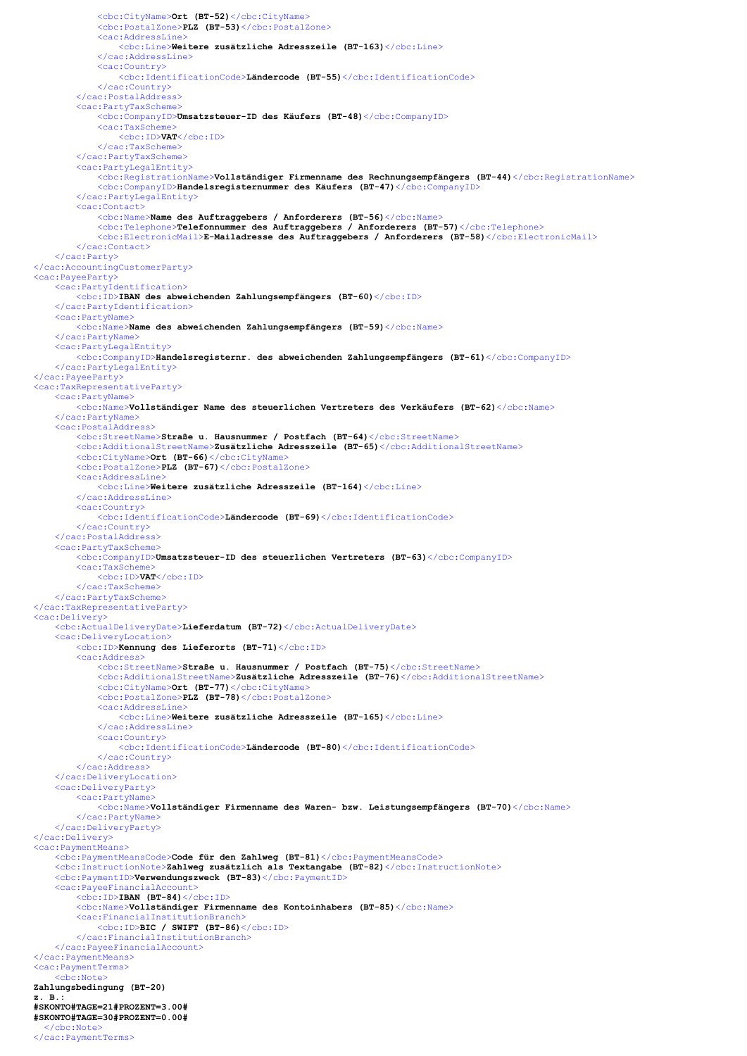```
<cbc:CityName>Ort (BT-52)</cbc:CityName>
            <cbc:PostalZone>PLZ (BT-53)</cbc:PostalZone>
            <cac:AddressLine>
                <cbc:Line>Weitere zusätzliche Adresszeile (BT-163)</cbc:Line>
            </cac:AddressLine>
            <cac:Country>
                <cbc:IdentificationCode>Ländercode (BT-55)</cbc:IdentificationCode>
            </cac:Country>
        </cac:PostalAddress>
        <cac:PartyTaxScheme>
            <cbc:CompanyID>Umsatzsteuer-ID des Käufers (BT-48)</cbc:CompanyID>
            <cac:TaxScheme>
                <cbc:ID>VAT</cbc:ID>
            </cac:TaxScheme>
        </cac:PartyTaxScheme>
        <cac:PartyLegalEntity>
            <cbc:RegistrationName>Vollständiger Firmenname des Rechnungsempfängers (BT-44)</cbc:RegistrationName>
            <cbc:CompanyID>Handelsregisternummer des Käufers (BT-47)</cbc:CompanyID>
        </cac:PartyLegalEntity>
        <cac:Contact>
            <cbc:Name>Name des Auftraggebers / Anforderers (BT-56)</cbc:Name>
            <cbc:Telephone>Telefonnummer des Auftraggebers / Anforderers (BT-57)</cbc:Telephone>
            <cbc:ElectronicMail>E-Mailadresse des Auftraggebers / Anforderers (BT-58)</cbc:ElectronicMail>
        </cac:Contact>
    </cac:Party>
</cac:AccountingCustomerParty>
<cac:PayeeParty>
    <cac:PartyIdentification>
        <cbc:ID>IBAN des abweichenden Zahlungsempfängers (BT-60)</cbc:ID>
    </cac:PartyIdentification>
    <cac:PartyName>
        <cbc:Name>Name des abweichenden Zahlungsempfängers (BT-59)</cbc:Name>
    </cac:PartyName>
    <cac:PartyLegalEntity>
        <cbc:CompanyID>Handelsregisternr. des abweichenden Zahlungsempfängers (BT-61)</cbc:CompanyID>
    </cac:PartyLegalEntity>
</cac:PayeeParty>
<cac:TaxRepresentativeParty>
    <cac:PartyName>
        <cbc:Name>Vollständiger Name des steuerlichen Vertreters des Verkäufers (BT-62)</cbc:Name>
    </cac:PartyName>
    <cac:PostalAddress>
        <cbc:StreetName>Straße u. Hausnummer / Postfach (BT-64)</cbc:StreetName>
        <cbc:AdditionalStreetName>Zusätzliche Adresszeile (BT-65)</cbc:AdditionalStreetName>
        <cbc:CityName>Ort (BT-66)</cbc:CityName>
        <cbc:PostalZone>PLZ (BT-67)</cbc:PostalZone>
        <cac:AddressLine>
            <cbc:Line>Weitere zusätzliche Adresszeile (BT-164)</cbc:Line>
        </cac:AddressLine>
        <cac:Country>
            <cbc:IdentificationCode>Ländercode (BT-69)</cbc:IdentificationCode>
        </cac:Country>
    </cac:PostalAddress>
    <cac:PartyTaxScheme>
        <cbc:CompanyID>Umsatzsteuer-ID des steuerlichen Vertreters (BT-63)</cbc:CompanyID>
        <cac:TaxScheme>
            <cbc:ID>VAT</cbc:ID>
        </cac:TaxScheme>
    </cac:PartyTaxScheme>
</cac:TaxRepresentativeParty>
<cac:Delivery>
    <cbc:ActualDeliveryDate>Lieferdatum (BT-72)</cbc:ActualDeliveryDate>
    <cac:DeliveryLocation>
        <cbc:ID>Kennung des Lieferorts (BT-71)</cbc:ID>
        <cac:Address>
            <cbc:StreetName>Straße u. Hausnummer / Postfach (BT-75)</cbc:StreetName>
            <cbc:AdditionalStreetName>Zusätzliche Adresszeile (BT-76)</cbc:AdditionalStreetName>
            <cbc:CityName>Ort (BT-77)</cbc:CityName>
            <cbc:PostalZone>PLZ (BT-78)</cbc:PostalZone>
            <cac:AddressLine>
                <cbc:Line>Weitere zusätzliche Adresszeile (BT-165)</cbc:Line>
            </cac:AddressLine>
            <cac:Country>
                <cbc:IdentificationCode>Ländercode (BT-80)</cbc:IdentificationCode>
            </cac:Country>
        </cac:Address>
    </cac:DeliveryLocation>
    <cac:DeliveryParty>
         <cac:PartyName>
            <cbc:Name>Vollständiger Firmenname des Waren- bzw. Leistungsempfängers (BT-70)</cbc:Name>
        </cac:PartyName>
    </cac:DeliveryParty>
</cac:Delivery>
<cac:PaymentMeans>
    <cbc:PaymentMeansCode>Code für den Zahlweg (BT-81)</cbc:PaymentMeansCode>
    <cbc:InstructionNote>Zahlweg zusätzlich als Textangabe (BT-82)</cbc:InstructionNote>
    <cbc:PaymentID>Verwendungszweck (BT-83)</cbc:PaymentID>
    <cac:PayeeFinancialAccount>
        <cbc:ID>IBAN (BT-84)</cbc:ID>
        <cbc:Name>Vollständiger Firmenname des Kontoinhabers (BT-85)</cbc:Name>
        <cac:FinancialInstitutionBranch>
            \langlecbc:ID>BIC / SWIFT (BT-86)\langle/cbc:ID>
        </cac:FinancialInstitutionBranch>
    </cac:PayeeFinancialAccount>
</cac:PaymentMeans>
<cac:PaymentTerms>
    <cbc:Note>
Zahlungsbedingung (BT-20) 
z. B.:
#SKONTO#TAGE=21#PROZENT=3.00#
#SKONTO#TAGE=30#PROZENT=0.00#
  </cbc:Note>
</cac:PaymentTerms>
```